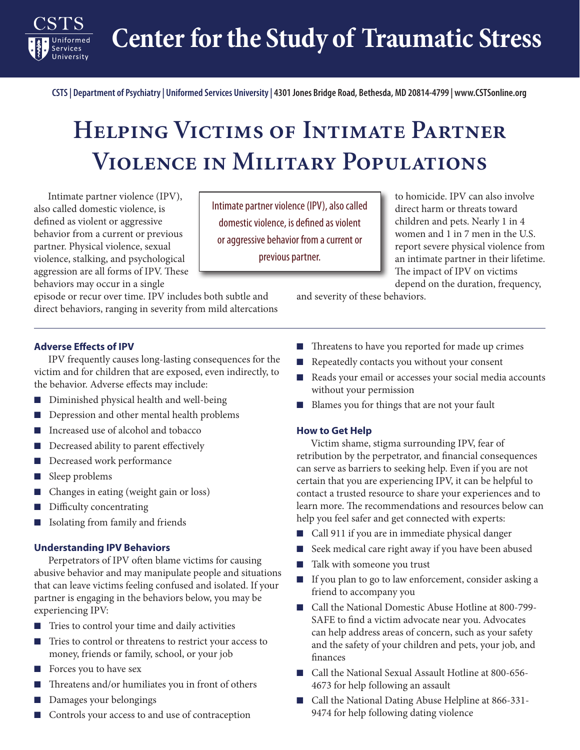**Center for the Study of Traumatic Stress**

**CSTS | Department of Psychiatry | Uniformed Services University | 4301 Jones Bridge Road, Bethesda, MD 20814-4799 | www.CSTSonline.org**

# **Helping Victims of Intimate Partner Violence in Military Populations**

Intimate partner violence (IPV), also called domestic violence, is defined as violent or aggressive behavior from a current or previous partner. Physical violence, sexual violence, stalking, and psychological aggression are all forms of IPV. These behaviors may occur in a single

episode or recur over time. IPV includes both subtle and direct behaviors, ranging in severity from mild altercations

Intimate partner violence (IPV), also called domestic violence, is defined as violent or aggressive behavior from a current or previous partner.

to homicide. IPV can also involve direct harm or threats toward children and pets. Nearly 1 in 4 women and 1 in 7 men in the U.S. report severe physical violence from an intimate partner in their lifetime. The impact of IPV on victims depend on the duration, frequency,

and severity of these behaviors.

#### **Adverse Effects of IPV**

**Services** University

IPV frequently causes long-lasting consequences for the victim and for children that are exposed, even indirectly, to the behavior. Adverse effects may include:

- Diminished physical health and well-being
- Depression and other mental health problems
- Increased use of alcohol and tobacco
- Decreased ability to parent effectively
- Decreased work performance
- Sleep problems
- Changes in eating (weight gain or loss)
- Difficulty concentrating
- Isolating from family and friends

#### **Understanding IPV Behaviors**

Perpetrators of IPV often blame victims for causing abusive behavior and may manipulate people and situations that can leave victims feeling confused and isolated. If your partner is engaging in the behaviors below, you may be experiencing IPV:

- Tries to control your time and daily activities
- Tries to control or threatens to restrict your access to money, friends or family, school, or your job
- Forces you to have sex
- Threatens and/or humiliates you in front of others
- Damages your belongings
- Controls your access to and use of contraception
- Threaten[s](https://www.womenshealth.gov/pregnancy) to have you reported for made up crimes
- Repeatedly contacts you without your consent
- Reads your email or accesses your social media accounts without your permission
- Blames you for things that are not your fault

#### **How to Get Help**

Victim shame, stigma surrounding IPV, fear of retribution by the perpetrator, and financial consequences can serve as barriers to seeking help. Even if you are not certain that you are experiencing IPV, it can be helpful to contact a trusted resource to share your experiences and to learn more. The recommendations and resources below can help you feel safer and get connected with experts:

- Call 911 if you are in immediate physical danger
- Seek medical care right away if you have been abused
- Talk with someone you trust
- If you plan to go to law enforcement, consider asking a friend to accompany you
- Call the National Domestic Abuse Hotline at 800-799-SAFE to find a victim advocate near you. Advocates can help address areas of concern, such as your safety and the safety of your children and pets, your job, and finances
- Call the National Sexual Assault Hotline at 800-656-4673 for help following an assault
- Call the National Dating Abuse Helpline at 866-331-9474 for help following dating violence